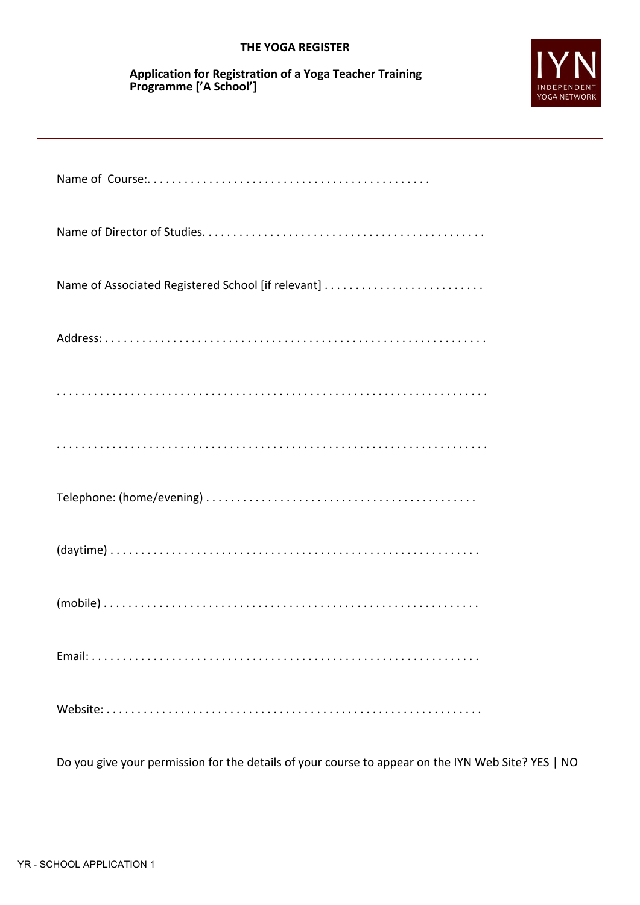## **THE YOGA REGISTER**

## **Application for Registration of a Yoga Teacher Training Programme ['A School']**



Do you give your permission for the details of your course to appear on the IYN Web Site? YES | NO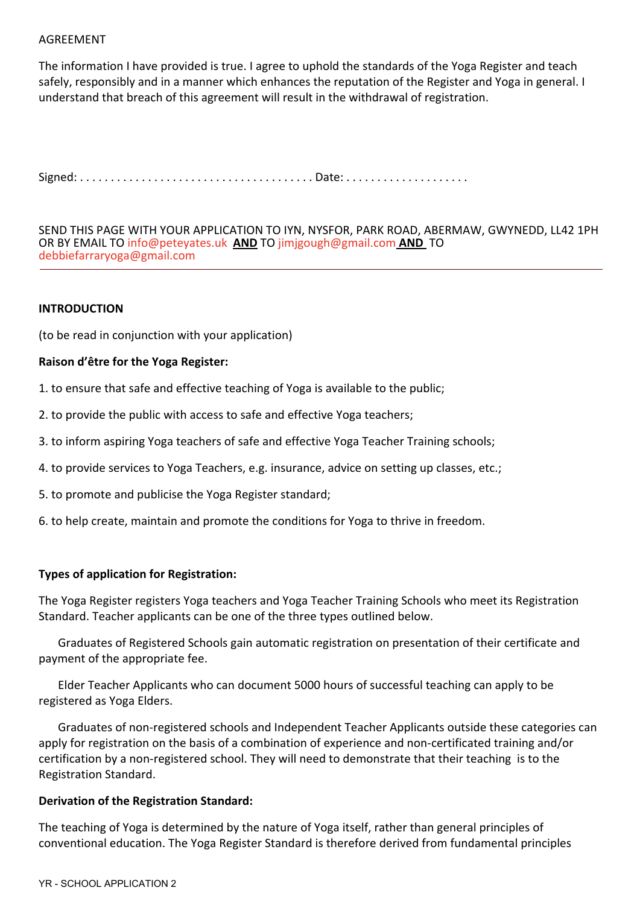### AGREEMENT

The information I have provided is true. I agree to uphold the standards of the Yoga Register and teach safely, responsibly and in a manner which enhances the reputation of the Register and Yoga in general. I understand that breach of this agreement will result in the withdrawal of registration.

Signed: . . . . . . . . . . . . . . . . . . . . . . . . . . . . . . . . . . . . . . Date: . . . . . . . . . . . . . . . . . . . .

SEND THIS PAGE WITH YOUR APPLICATION TO IYN, NYSFOR, PARK ROAD, ABERMAW, GWYNEDD, LL42 1PH OR BY EMAIL TO [info@peteyates.uk](mailto:info@peteyates.uk) **AND** T[O jimjgough@gmail.com](mailto:jimjgough@gmail.com) **AND** TO [debbiefarraryoga@gmail.com](mailto:debbiefarraryoga@gmail.com)

### **INTRODUCTION**

(to be read in conjunction with your application)

### **Raison d'être for the Yoga Register:**

- 1. to ensure that safe and effective teaching of Yoga is available to the public;
- 2. to provide the public with access to safe and effective Yoga teachers;
- 3. to inform aspiring Yoga teachers of safe and effective Yoga Teacher Training schools;
- 4. to provide services to Yoga Teachers, e.g. insurance, advice on setting up classes, etc.;
- 5. to promote and publicise the Yoga Register standard;
- 6. to help create, maintain and promote the conditions for Yoga to thrive in freedom.

#### **Types of application for Registration:**

The Yoga Register registers Yoga teachers and Yoga Teacher Training Schools who meet its Registration Standard. Teacher applicants can be one of the three types outlined below.

Graduates of Registered Schools gain automatic registration on presentation of their certificate and payment of the appropriate fee.

Elder Teacher Applicants who can document 5000 hours of successful teaching can apply to be registered as Yoga Elders.

Graduates of non-registered schools and Independent Teacher Applicants outside these categories can apply for registration on the basis of a combination of experience and non-certificated training and/or certification by a non-registered school. They will need to demonstrate that their teaching is to the Registration Standard.

#### **Derivation of the Registration Standard:**

The teaching of Yoga is determined by the nature of Yoga itself, rather than general principles of conventional education. The Yoga Register Standard is therefore derived from fundamental principles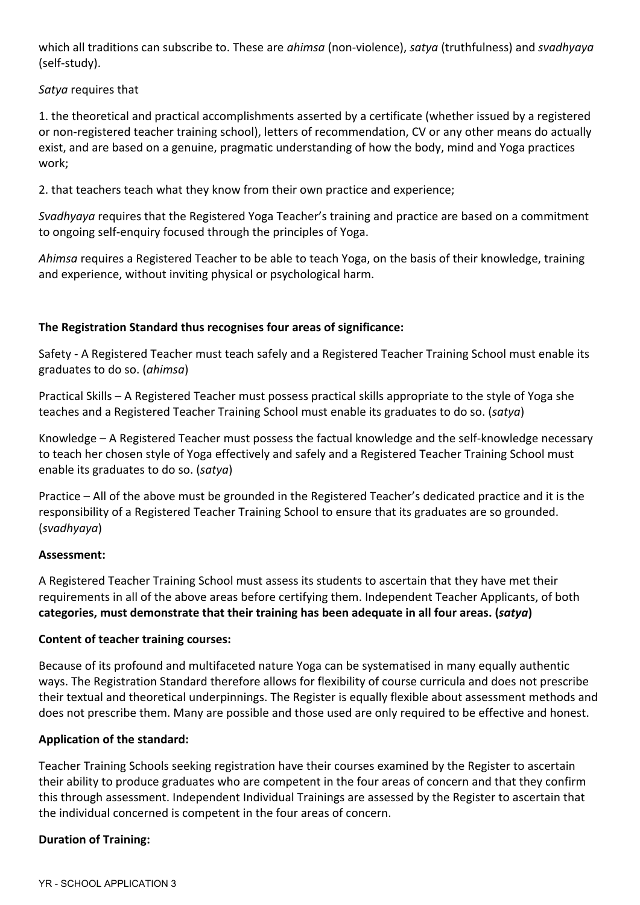which all traditions can subscribe to. These are *ahimsa* (non-violence), *satya* (truthfulness) and *svadhyaya* (self-study).

*Satya* requires that

1. the theoretical and practical accomplishments asserted by a certificate (whether issued by a registered or non-registered teacher training school), letters of recommendation, CV or any other means do actually exist, and are based on a genuine, pragmatic understanding of how the body, mind and Yoga practices work;

2. that teachers teach what they know from their own practice and experience;

*Svadhyaya* requires that the Registered Yoga Teacher's training and practice are based on a commitment to ongoing self-enquiry focused through the principles of Yoga.

*Ahimsa* requires a Registered Teacher to be able to teach Yoga, on the basis of their knowledge, training and experience, without inviting physical or psychological harm.

# **The Registration Standard thus recognises four areas of significance:**

Safety - A Registered Teacher must teach safely and a Registered Teacher Training School must enable its graduates to do so. (*ahimsa*)

Practical Skills – A Registered Teacher must possess practical skills appropriate to the style of Yoga she teaches and a Registered Teacher Training School must enable its graduates to do so. (*satya*)

Knowledge – A Registered Teacher must possess the factual knowledge and the self-knowledge necessary to teach her chosen style of Yoga effectively and safely and a Registered Teacher Training School must enable its graduates to do so. (*satya*)

Practice – All of the above must be grounded in the Registered Teacher's dedicated practice and it is the responsibility of a Registered Teacher Training School to ensure that its graduates are so grounded. (*svadhyaya*)

## **Assessment:**

A Registered Teacher Training School must assess its students to ascertain that they have met their requirements in all of the above areas before certifying them. Independent Teacher Applicants, of both **categories, must demonstrate that their training has been adequate in all four areas. (***satya***)**

## **Content of teacher training courses:**

Because of its profound and multifaceted nature Yoga can be systematised in many equally authentic ways. The Registration Standard therefore allows for flexibility of course curricula and does not prescribe their textual and theoretical underpinnings. The Register is equally flexible about assessment methods and does not prescribe them. Many are possible and those used are only required to be effective and honest.

## **Application of the standard:**

Teacher Training Schools seeking registration have their courses examined by the Register to ascertain their ability to produce graduates who are competent in the four areas of concern and that they confirm this through assessment. Independent Individual Trainings are assessed by the Register to ascertain that the individual concerned is competent in the four areas of concern.

## **Duration of Training:**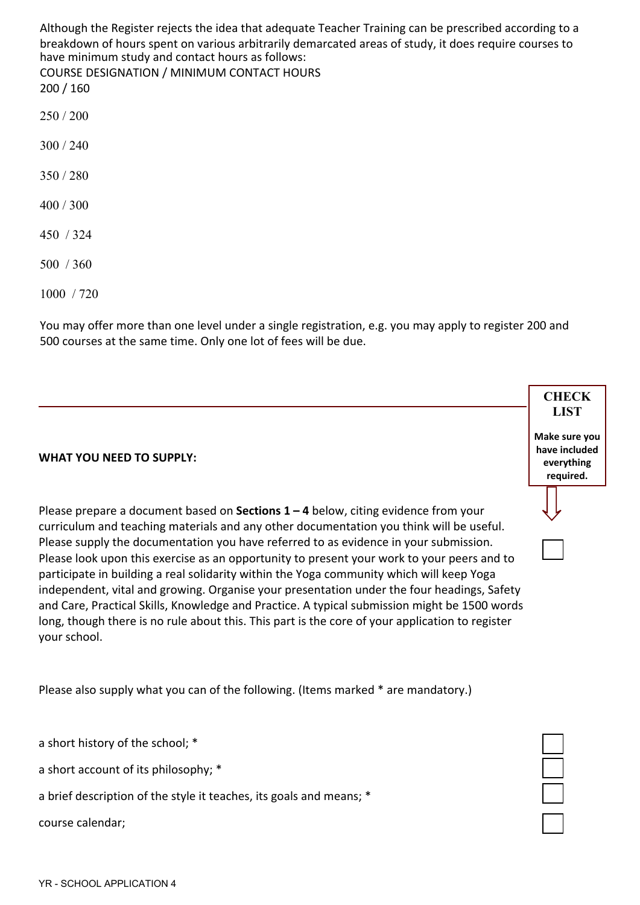Although the Register rejects the idea that adequate Teacher Training can be prescribed according to a breakdown of hours spent on various arbitrarily demarcated areas of study, it does require courses to have minimum study and contact hours as follows: COURSE DESIGNATION / MINIMUM CONTACT HOURS

200 / 160

- 250 / 200
- 300 / 240
- 350 / 280
- 400 / 300
- 450 / 324
- 500 / 360

1000 / 720

You may offer more than one level under a single registration, e.g. you may apply to register 200 and 500 courses at the same time. Only one lot of fees will be due.

## **WHAT YOU NEED TO SUPPLY:**

Please prepare a document based on **Sections 1 – 4** below, citing evidence from your curriculum and teaching materials and any other documentation you think will be useful. Please supply the documentation you have referred to as evidence in your submission. Please look upon this exercise as an opportunity to present your work to your peers and to participate in building a real solidarity within the Yoga community which will keep Yoga independent, vital and growing. Organise your presentation under the four headings, Safety and Care, Practical Skills, Knowledge and Practice. A typical submission might be 1500 words long, though there is no rule about this. This part is the core of your application to register your school.

Please also supply what you can of the following. (Items marked \* are mandatory.)

a short history of the school; \*

a short account of its philosophy; \*

a brief description of the style it teaches, its goals and means; \*

course calendar;

**CHECK**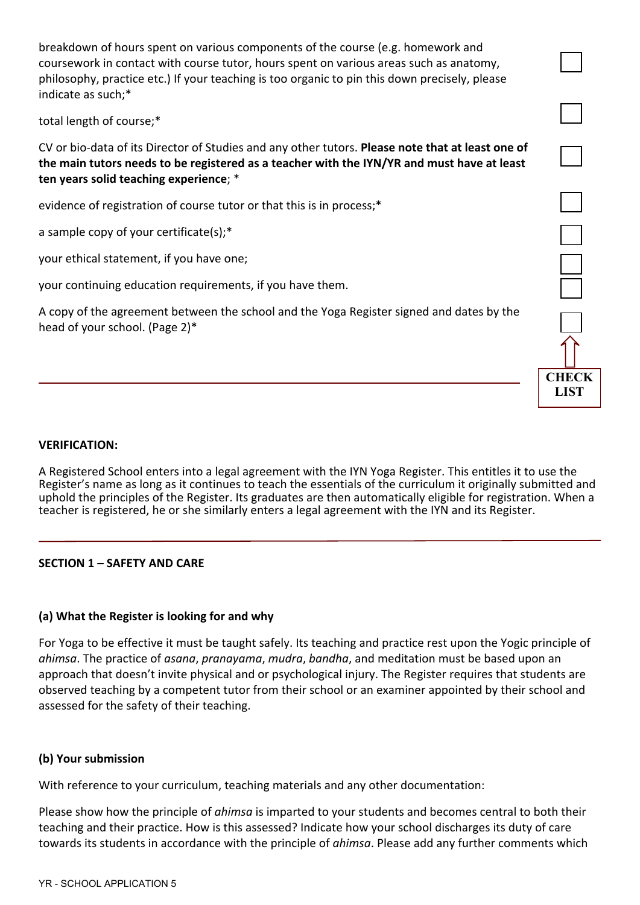breakdown of hours spent on various components of the course (e.g. homework and coursework in contact with course tutor, hours spent on various areas such as anatomy, philosophy, practice etc.) If your teaching is too organic to pin this down precisely, please indicate as such;\*

total length of course;\*

CV or bio-data of its Director of Studies and any other tutors. **Please note that at least one of the main tutors needs to be registered as a teacher with the IYN/YR and must have at least ten years solid teaching experience**; \*

evidence of registration of course tutor or that this is in process;\*

a sample copy of your certificate(s);\*

your ethical statement, if you have one;

your continuing education requirements, if you have them.

A copy of the agreement between the school and the Yoga Register signed and dates by the head of your school. (Page 2)\*



A Registered School enters into a legal agreement with the IYN Yoga Register. This entitles it to use the Register's name as long as it continues to teach the essentials of the curriculum it originally submitted and uphold the principles of the Register. Its graduates are then automatically eligible for registration. When a teacher is registered, he or she similarly enters a legal agreement with the IYN and its Register.

**CHECK LIST**

## **SECTION 1 – SAFETY AND CARE**

## **(a) What the Register is looking for and why**

For Yoga to be effective it must be taught safely. Its teaching and practice rest upon the Yogic principle of *ahimsa*. The practice of *asana*, *pranayama*, *mudra*, *bandha*, and meditation must be based upon an approach that doesn't invite physical and or psychological injury. The Register requires that students are observed teaching by a competent tutor from their school or an examiner appointed by their school and assessed for the safety of their teaching.

## **(b) Your submission**

With reference to your curriculum, teaching materials and any other documentation:

Please show how the principle of *ahimsa* is imparted to your students and becomes central to both their teaching and their practice. How is this assessed? Indicate how your school discharges its duty of care towards its students in accordance with the principle of *ahimsa*. Please add any further comments which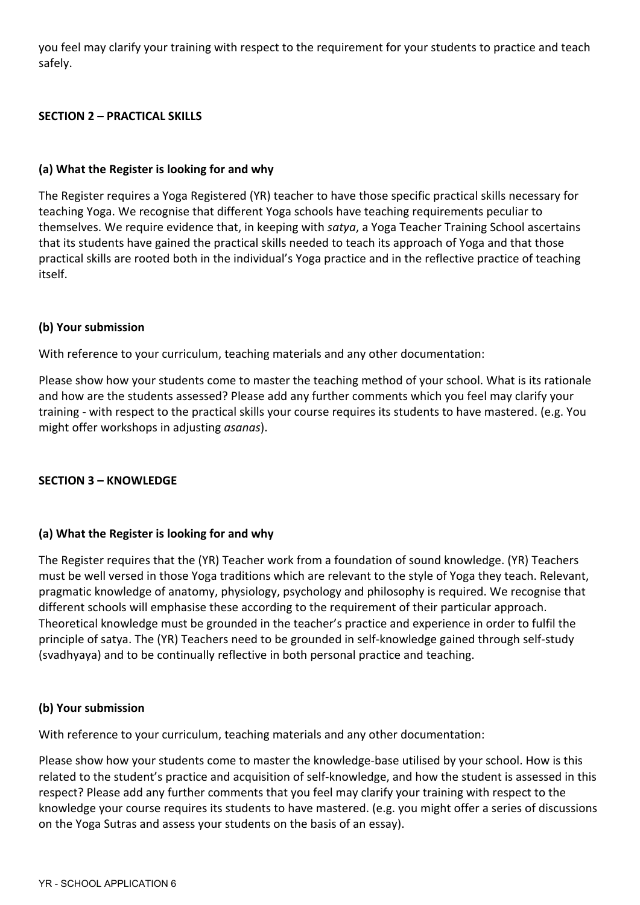you feel may clarify your training with respect to the requirement for your students to practice and teach safely.

## **SECTION 2 – PRACTICAL SKILLS**

## **(a) What the Register is looking for and why**

The Register requires a Yoga Registered (YR) teacher to have those specific practical skills necessary for teaching Yoga. We recognise that different Yoga schools have teaching requirements peculiar to themselves. We require evidence that, in keeping with *satya*, a Yoga Teacher Training School ascertains that its students have gained the practical skills needed to teach its approach of Yoga and that those practical skills are rooted both in the individual's Yoga practice and in the reflective practice of teaching itself.

## **(b) Your submission**

With reference to your curriculum, teaching materials and any other documentation:

Please show how your students come to master the teaching method of your school. What is its rationale and how are the students assessed? Please add any further comments which you feel may clarify your training - with respect to the practical skills your course requires its students to have mastered. (e.g. You might offer workshops in adjusting *asanas*).

## **SECTION 3 – KNOWLEDGE**

## **(a) What the Register is looking for and why**

The Register requires that the (YR) Teacher work from a foundation of sound knowledge. (YR) Teachers must be well versed in those Yoga traditions which are relevant to the style of Yoga they teach. Relevant, pragmatic knowledge of anatomy, physiology, psychology and philosophy is required. We recognise that different schools will emphasise these according to the requirement of their particular approach. Theoretical knowledge must be grounded in the teacher's practice and experience in order to fulfil the principle of satya. The (YR) Teachers need to be grounded in self-knowledge gained through self-study (svadhyaya) and to be continually reflective in both personal practice and teaching.

## **(b) Your submission**

With reference to your curriculum, teaching materials and any other documentation:

Please show how your students come to master the knowledge-base utilised by your school. How is this related to the student's practice and acquisition of self-knowledge, and how the student is assessed in this respect? Please add any further comments that you feel may clarify your training with respect to the knowledge your course requires its students to have mastered. (e.g. you might offer a series of discussions on the Yoga Sutras and assess your students on the basis of an essay).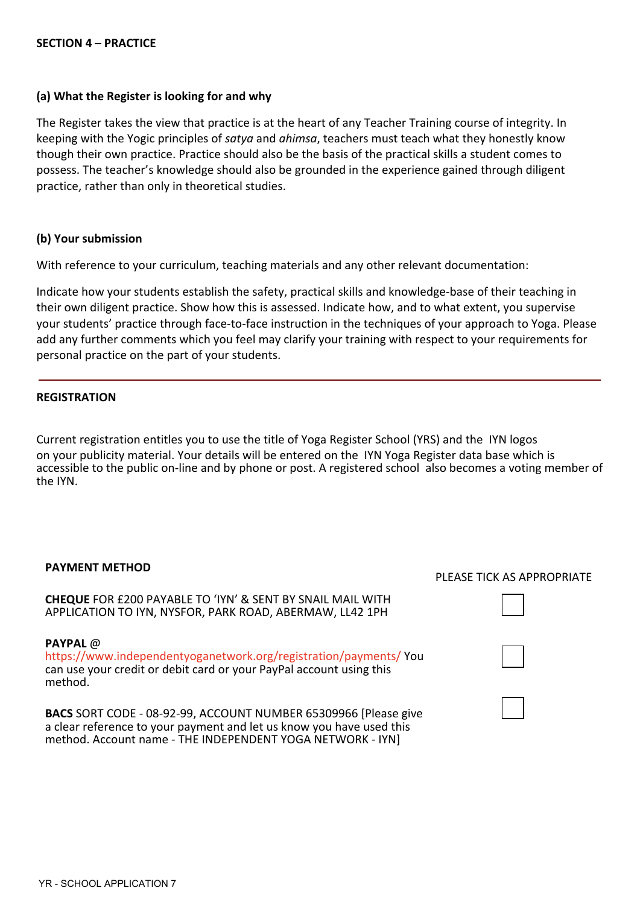#### **SECTION 4 – PRACTICE**

### **(a) What the Register is looking for and why**

The Register takes the view that practice is at the heart of any Teacher Training course of integrity. In keeping with the Yogic principles of *satya* and *ahimsa*, teachers must teach what they honestly know though their own practice. Practice should also be the basis of the practical skills a student comes to possess. The teacher's knowledge should also be grounded in the experience gained through diligent practice, rather than only in theoretical studies.

### **(b) Your submission**

With reference to your curriculum, teaching materials and any other relevant documentation:

Indicate how your students establish the safety, practical skills and knowledge-base of their teaching in their own diligent practice. Show how this is assessed. Indicate how, and to what extent, you supervise your students' practice through face-to-face instruction in the techniques of your approach to Yoga. Please add any further comments which you feel may clarify your training with respect to your requirements for personal practice on the part of your students.

#### **REGISTRATION**

Current registration entitles you to use the title of Yoga Register School (YRS) and the IYN logos on your publicity material. Your details will be entered on the IYN Yoga Register data base which is accessible to the public on-line and by phone or post. A registered school also becomes a voting member of the IYN.

#### **PAYMENT METHOD**

**CHEQUE** FOR £200 PAYABLE TO 'IYN' & SENT BY SNAIL MAIL WITH APPLICATION TO IYN, NYSFOR, PARK ROAD, ABERMAW, LL42 1PH

**PAYPAL** @ <https://www.independentyoganetwork.org/registration/payments/> You can use your credit or debit card or your PayPal account using this method.

**BACS** SORT CODE - 08-92-99, ACCOUNT NUMBER 65309966 [Please give a clear reference to your payment and let us know you have used this method. Account name - THE INDEPENDENT YOGA NETWORK - IYN]

## PLEASE TICK AS APPROPRIATE